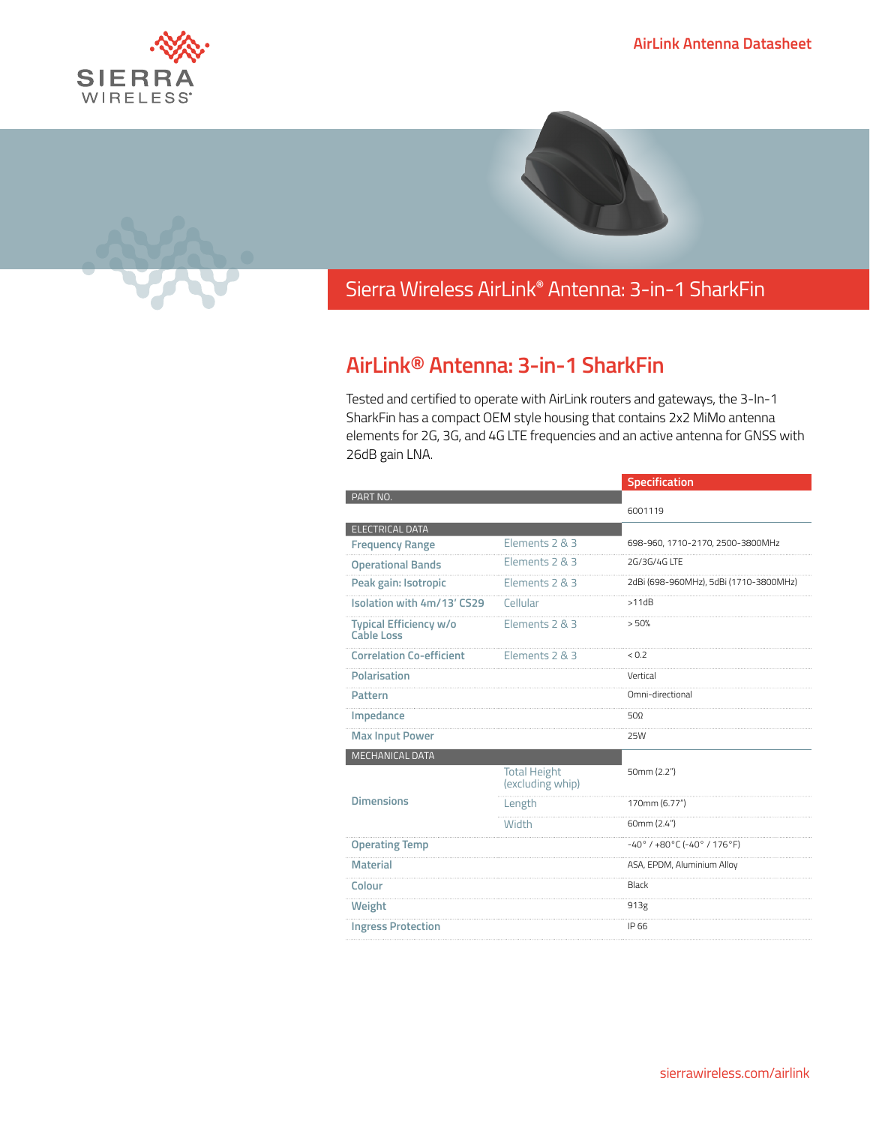



## Sierra Wireless **EMBEDDED MODULES HL SERIES** AirLink**®** Antenna: 3-in-1 SharkFin

## **AirLink® Antenna: 3-in-1 SharkFin**

Tested and certified to operate with AirLink routers and gateways, the 3-In-1 SharkFin has a compact OEM style housing that contains 2x2 MiMo antenna elements for 2G, 3G, and 4G LTE frequencies and an active antenna for GNSS with 26dB gain LNA.

|                                      |                                         | Specification                                  |
|--------------------------------------|-----------------------------------------|------------------------------------------------|
| PART NO.                             |                                         |                                                |
|                                      |                                         | 6001119                                        |
| <b>ELECTRICAL DATA</b>               |                                         |                                                |
| <b>Frequency Range</b>               | Elements 2 & 3                          | 698-960, 1710-2170, 2500-3800MHz               |
| <b>Operational Bands</b>             | Elements 2 & 3                          | 2G/3G/4G LTF                                   |
| Peak gain: Isotropic                 | Elements 2 & 3                          | 2dBi (698-960MHz), 5dBi (1710-3800MHz)         |
| Isolation with 4m/13' CS29           | Cellular                                | >11dB                                          |
| Typical Efficiency w/o<br>Cable Loss | Elements 2 & 3                          | > 50%                                          |
| <b>Correlation Co-efficient</b>      | Elements 2 & 3                          | < 0.2                                          |
| <b>Polarisation</b>                  |                                         | Vertical                                       |
| Pattern                              |                                         | Omni-directional                               |
| Impedance                            |                                         | $50\Omega$                                     |
| <b>Max Input Power</b>               |                                         | <b>25W</b>                                     |
| <b>MECHANICAL DATA</b>               |                                         |                                                |
|                                      | <b>Total Height</b><br>(excluding whip) | 50mm (2.2")                                    |
| <b>Dimensions</b>                    | Length                                  | 170mm (6.77")                                  |
|                                      | Width                                   | 60mm (2.4")                                    |
| <b>Operating Temp</b>                |                                         | $-40^{\circ}$ / $+80^{\circ}$ C (-40° / 176°F) |
| <b>Material</b>                      |                                         | ASA, EPDM, Aluminium Alloy                     |
| Colour                               |                                         | Black                                          |
| Weight                               |                                         | 913g                                           |
| <b>Ingress Protection</b>            |                                         | IP 66                                          |
|                                      |                                         |                                                |